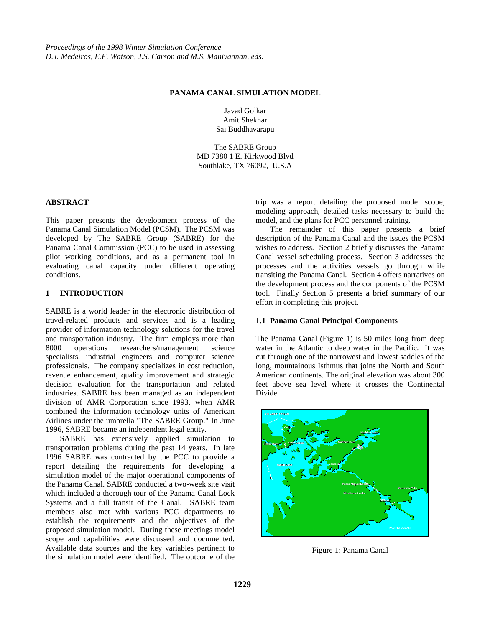### **PANAMA CANAL SIMULATION MODEL**

Javad Golkar Amit Shekhar Sai Buddhavarapu

The SABRE Group MD 7380 1 E. Kirkwood Blvd Southlake, TX 76092, U.S.A

### **ABSTRACT**

This paper presents the development process of the Panama Canal Simulation Model (PCSM). The PCSM was developed by The SABRE Group (SABRE) for the Panama Canal Commission (PCC) to be used in assessing pilot working conditions, and as a permanent tool in evaluating canal capacity under different operating conditions.

# **1 INTRODUCTION**

SABRE is a world leader in the electronic distribution of travel-related products and services and is a leading provider of information technology solutions for the travel and transportation industry. The firm employs more than 8000 operations researchers/management science specialists, industrial engineers and computer science professionals. The company specializes in cost reduction, revenue enhancement, quality improvement and strategic decision evaluation for the transportation and related industries. SABRE has been managed as an independent division of AMR Corporation since 1993, when AMR combined the information technology units of American Airlines under the umbrella "The SABRE Group." In June 1996, SABRE became an independent legal entity.

SABRE has extensively applied simulation to transportation problems during the past 14 years. In late 1996 SABRE was contracted by the PCC to provide a report detailing the requirements for developing a simulation model of the major operational components of the Panama Canal. SABRE conducted a two-week site visit which included a thorough tour of the Panama Canal Lock Systems and a full transit of the Canal. SABRE team members also met with various PCC departments to establish the requirements and the objectives of the proposed simulation model. During these meetings model scope and capabilities were discussed and documented. Available data sources and the key variables pertinent to the simulation model were identified. The outcome of the

trip was a report detailing the proposed model scope, modeling approach, detailed tasks necessary to build the model, and the plans for PCC personnel training.

The remainder of this paper presents a brief description of the Panama Canal and the issues the PCSM wishes to address. Section 2 briefly discusses the Panama Canal vessel scheduling process. Section 3 addresses the processes and the activities vessels go through while transiting the Panama Canal. Section 4 offers narratives on the development process and the components of the PCSM tool. Finally Section 5 presents a brief summary of our effort in completing this project.

### **1.1 Panama Canal Principal Components**

The Panama Canal (Figure 1) is 50 miles long from deep water in the Atlantic to deep water in the Pacific. It was cut through one of the narrowest and lowest saddles of the long, mountainous Isthmus that joins the North and South American continents. The original elevation was about 300 feet above sea level where it crosses the Continental Divide.



Figure 1: Panama Canal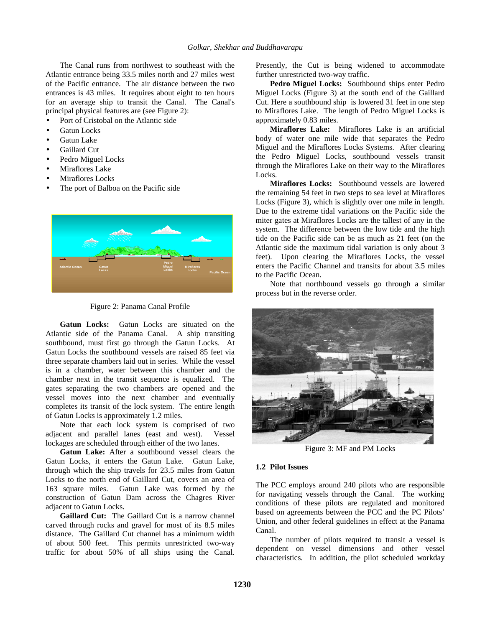The Canal runs from northwest to southeast with the Atlantic entrance being 33.5 miles north and 27 miles west of the Pacific entrance. The air distance between the two entrances is 43 miles. It requires about eight to ten hours for an average ship to transit the Canal. The Canal's principal physical features are (see Figure 2):

- Port of Cristobal on the Atlantic side
- Gatun Locks
- Gatun Lake
- Gaillard Cut
- Pedro Miguel Locks
- Miraflores Lake
- Miraflores Locks
- The port of Balboa on the Pacific side





**Gatun Locks:** Gatun Locks are situated on the Atlantic side of the Panama Canal. A ship transiting southbound, must first go through the Gatun Locks. At Gatun Locks the southbound vessels are raised 85 feet via three separate chambers laid out in series. While the vessel is in a chamber, water between this chamber and the chamber next in the transit sequence is equalized. The gates separating the two chambers are opened and the vessel moves into the next chamber and eventually completes its transit of the lock system. The entire length of Gatun Locks is approximately 1.2 miles.

Note that each lock system is comprised of two adjacent and parallel lanes (east and west). Vessel lockages are scheduled through either of the two lanes.

**Gatun Lake:** After a southbound vessel clears the Gatun Locks, it enters the Gatun Lake. Gatun Lake, through which the ship travels for 23.5 miles from Gatun Locks to the north end of Gaillard Cut, covers an area of 163 square miles. Gatun Lake was formed by the construction of Gatun Dam across the Chagres River adjacent to Gatun Locks.

**Gaillard Cut:** The Gaillard Cut is a narrow channel carved through rocks and gravel for most of its 8.5 miles distance. The Gaillard Cut channel has a minimum width of about 500 feet. This permits unrestricted two-way traffic for about 50% of all ships using the Canal.

Presently, the Cut is being widened to accommodate further unrestricted two-way traffic.

Pedro Miguel Locks: Southbound ships enter Pedro Miguel Locks (Figure 3) at the south end of the Gaillard Cut. Here a southbound ship is lowered 31 feet in one step to Miraflores Lake. The length of Pedro Miguel Locks is approximately 0.83 miles.

**Miraflores Lake:** Miraflores Lake is an artificial body of water one mile wide that separates the Pedro Miguel and the Miraflores Locks Systems. After clearing the Pedro Miguel Locks, southbound vessels transit through the Miraflores Lake on their way to the Miraflores Locks.

**Miraflores Locks:** Southbound vessels are lowered the remaining 54 feet in two steps to sea level at Miraflores Locks (Figure 3), which is slightly over one mile in length. Due to the extreme tidal variations on the Pacific side the miter gates at Miraflores Locks are the tallest of any in the system. The difference between the low tide and the high tide on the Pacific side can be as much as 21 feet (on the Atlantic side the maximum tidal variation is only about 3 feet). Upon clearing the Miraflores Locks, the vessel enters the Pacific Channel and transits for about 3.5 miles to the Pacific Ocean.

Note that northbound vessels go through a similar process but in the reverse order.



Figure 3: MF and PM Locks

### **1.2 Pilot Issues**

The PCC employs around 240 pilots who are responsible for navigating vessels through the Canal. The working conditions of these pilots are regulated and monitored based on agreements between the PCC and the PC Pilots' Union, and other federal guidelines in effect at the Panama Canal.

The number of pilots required to transit a vessel is dependent on vessel dimensions and other vessel characteristics. In addition, the pilot scheduled workday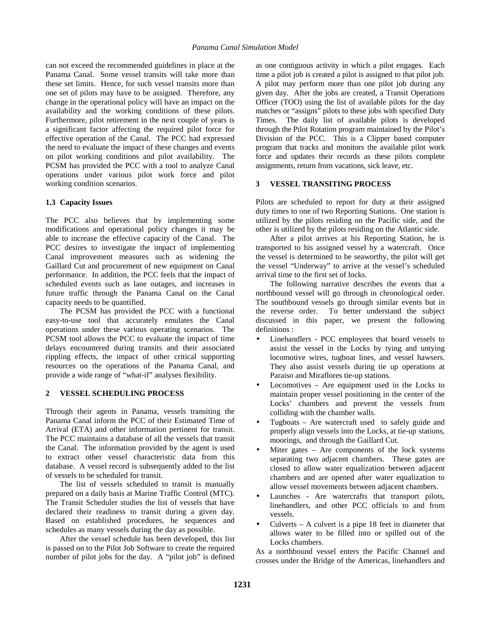can not exceed the recommended guidelines in place at the Panama Canal. Some vessel transits will take more than these set limits. Hence, for such vessel transits more than one set of pilots may have to be assigned. Therefore, any change in the operational policy will have an impact on the availability and the working conditions of these pilots. Furthermore, pilot retirement in the next couple of years is a significant factor affecting the required pilot force for effective operation of the Canal. The PCC had expressed the need to evaluate the impact of these changes and events on pilot working conditions and pilot availability. The PCSM has provided the PCC with a tool to analyze Canal operations under various pilot work force and pilot working condition scenarios.

# **1.3 Capacity Issues**

The PCC also believes that by implementing some modifications and operational policy changes it may be able to increase the effective capacity of the Canal. The PCC desires to investigate the impact of implementing Canal improvement measures such as widening the Gaillard Cut and procurement of new equipment on Canal performance. In addition, the PCC feels that the impact of scheduled events such as lane outages, and increases in future traffic through the Panama Canal on the Canal capacity needs to be quantified.

The PCSM has provided the PCC with a functional easy-to-use tool that accurately emulates the Canal operations under these various operating scenarios. The PCSM tool allows the PCC to evaluate the impact of time delays encountered during transits and their associated rippling effects, the impact of other critical supporting resources on the operations of the Panama Canal, and provide a wide range of "what-if" analyses flexibility.

### **2 VESSEL SCHEDULING PROCESS**

Through their agents in Panama, vessels transiting the Panama Canal inform the PCC of their Estimated Time of Arrival (ETA) and other information pertinent for transit. The PCC maintains a database of all the vessels that transit the Canal. The information provided by the agent is used to extract other vessel characteristic data from this database. A vessel record is subsequently added to the list of vessels to be scheduled for transit.

The list of vessels scheduled to transit is manually prepared on a daily basis at Marine Traffic Control (MTC). The Transit Scheduler studies the list of vessels that have declared their readiness to transit during a given day. Based on established procedures, he sequences and schedules as many vessels during the day as possible.

After the vessel schedule has been developed, this list is passed on to the Pilot Job Software to create the required number of pilot jobs for the day. A "pilot job" is defined as one contiguous activity in which a pilot engages. Each time a pilot job is created a pilot is assigned to that pilot job. A pilot may perform more than one pilot job during any given day. After the jobs are created, a Transit Operations Officer (TOO) using the list of available pilots for the day matches or "assigns" pilots to these jobs with specified Duty Times. The daily list of available pilots is developed through the Pilot Rotation program maintained by the Pilot's Division of the PCC. This is a Clipper based computer program that tracks and monitors the available pilot work force and updates their records as these pilots complete assignments, return from vacations, sick leave, etc.

# **3 VESSEL TRANSITING PROCESS**

Pilots are scheduled to report for duty at their assigned duty times to one of two Reporting Stations. One station is utilized by the pilots residing on the Pacific side, and the other is utilized by the pilots residing on the Atlantic side.

After a pilot arrives at his Reporting Station, he is transported to his assigned vessel by a watercraft. Once the vessel is determined to be seaworthy, the pilot will get the vessel "Underway" to arrive at the vessel's scheduled arrival time to the first set of locks.

The following narrative describes the events that a northbound vessel will go through in chronological order. The southbound vessels go through similar events but in the reverse order. To better understand the subject discussed in this paper, we present the following definitions :

- Linehandlers PCC employees that board vessels to assist the vessel in the Locks by tying and untying locomotive wires, tugboat lines, and vessel hawsers. They also assist vessels during tie up operations at Paraiso and Miraflores tie-up stations.
- Locomotives Are equipment used in the Locks to maintain proper vessel positioning in the center of the Locks' chambers and prevent the vessels from colliding with the chamber walls.
- Tugboats  $-$  Are watercraft used to safely guide and properly align vessels into the Locks, at tie-up stations, moorings, and through the Gaillard Cut.
- Miter gates  $-$  Are components of the lock systems separating two adjacent chambers. These gates are closed to allow water equalization between adjacent chambers and are opened after water equalization to allow vessel movements between adjacent chambers.
- Launches Are watercrafts that transport pilots, linehandlers, and other PCC officials to and from vessels.
- Culverts  $A$  culvert is a pipe 18 feet in diameter that allows water to be filled into or spilled out of the Locks chambers.

As a northbound vessel enters the Pacific Channel and crosses under the Bridge of the Americas, linehandlers and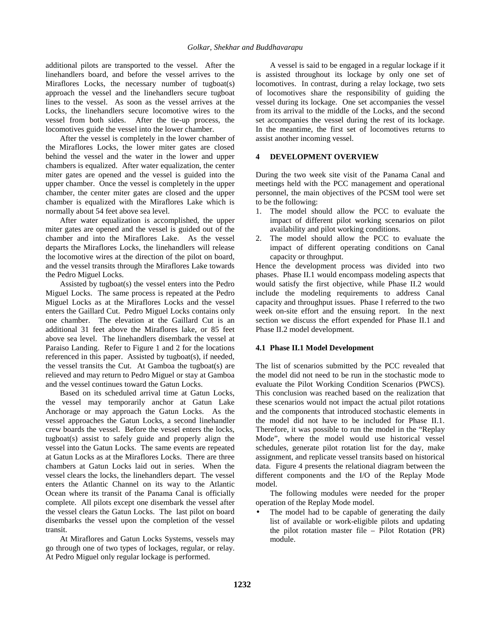additional pilots are transported to the vessel. After the linehandlers board, and before the vessel arrives to the Miraflores Locks, the necessary number of tugboat(s) approach the vessel and the linehandlers secure tugboat lines to the vessel. As soon as the vessel arrives at the Locks, the linehandlers secure locomotive wires to the vessel from both sides. After the tie-up process, the locomotives guide the vessel into the lower chamber.

After the vessel is completely in the lower chamber of the Miraflores Locks, the lower miter gates are closed behind the vessel and the water in the lower and upper chambers is equalized. After water equalization, the center miter gates are opened and the vessel is guided into the upper chamber. Once the vessel is completely in the upper chamber, the center miter gates are closed and the upper chamber is equalized with the Miraflores Lake which is normally about 54 feet above sea level.

After water equalization is accomplished, the upper miter gates are opened and the vessel is guided out of the chamber and into the Miraflores Lake. As the vessel departs the Miraflores Locks, the linehandlers will release the locomotive wires at the direction of the pilot on board, and the vessel transits through the Miraflores Lake towards the Pedro Miguel Locks.

Assisted by tugboat(s) the vessel enters into the Pedro Miguel Locks. The same process is repeated at the Pedro Miguel Locks as at the Miraflores Locks and the vessel enters the Gaillard Cut. Pedro Miguel Locks contains only one chamber. The elevation at the Gaillard Cut is an additional 31 feet above the Miraflores lake, or 85 feet above sea level. The linehandlers disembark the vessel at Paraiso Landing. Refer to Figure 1 and 2 for the locations referenced in this paper. Assisted by tugboat(s), if needed, the vessel transits the Cut. At Gamboa the tugboat(s) are relieved and may return to Pedro Miguel or stay at Gamboa and the vessel continues toward the Gatun Locks.

Based on its scheduled arrival time at Gatun Locks, the vessel may temporarily anchor at Gatun Lake Anchorage or may approach the Gatun Locks. As the vessel approaches the Gatun Locks, a second linehandler crew boards the vessel. Before the vessel enters the locks, tugboat(s) assist to safely guide and properly align the vessel into the Gatun Locks. The same events are repeated at Gatun Locks as at the Miraflores Locks. There are three chambers at Gatun Locks laid out in series. When the vessel clears the locks, the linehandlers depart. The vessel enters the Atlantic Channel on its way to the Atlantic Ocean where its transit of the Panama Canal is officially complete. All pilots except one disembark the vessel after the vessel clears the Gatun Locks. The last pilot on board disembarks the vessel upon the completion of the vessel transit.

At Miraflores and Gatun Locks Systems, vessels may go through one of two types of lockages, regular, or relay. At Pedro Miguel only regular lockage is performed.

A vessel is said to be engaged in a regular lockage if it is assisted throughout its lockage by only one set of locomotives. In contrast, during a relay lockage, two sets of locomotives share the responsibility of guiding the vessel during its lockage. One set accompanies the vessel from its arrival to the middle of the Locks, and the second set accompanies the vessel during the rest of its lockage. In the meantime, the first set of locomotives returns to assist another incoming vessel.

### **4 DEVELOPMENT OVERVIEW**

During the two week site visit of the Panama Canal and meetings held with the PCC management and operational personnel, the main objectives of the PCSM tool were set to be the following:

- 1. The model should allow the PCC to evaluate the impact of different pilot working scenarios on pilot availability and pilot working conditions.
- 2. The model should allow the PCC to evaluate the impact of different operating conditions on Canal capacity or throughput.

Hence the development process was divided into two phases. Phase II.1 would encompass modeling aspects that would satisfy the first objective, while Phase II.2 would include the modeling requirements to address Canal capacity and throughput issues. Phase I referred to the two week on-site effort and the ensuing report. In the next section we discuss the effort expended for Phase II.1 and Phase II.2 model development.

### **4.1 Phase II.1 Model Development**

The list of scenarios submitted by the PCC revealed that the model did not need to be run in the stochastic mode to evaluate the Pilot Working Condition Scenarios (PWCS). This conclusion was reached based on the realization that these scenarios would not impact the actual pilot rotations and the components that introduced stochastic elements in the model did not have to be included for Phase II.1. Therefore, it was possible to run the model in the "Replay Mode", where the model would use historical vessel schedules, generate pilot rotation list for the day, make assignment, and replicate vessel transits based on historical data. Figure 4 presents the relational diagram between the different components and the I/O of the Replay Mode model.

The following modules were needed for the proper operation of the Replay Mode model.

The model had to be capable of generating the daily list of available or work-eligible pilots and updating the pilot rotation master file – Pilot Rotation (PR) module.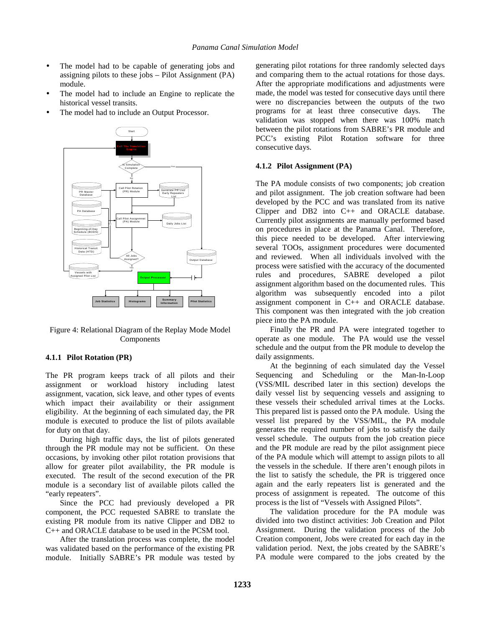- The model had to be capable of generating jobs and assigning pilots to these jobs – Pilot Assignment (PA) module.
- The model had to include an Engine to replicate the historical vessel transits.
- The model had to include an Output Processor.



Figure 4: Relational Diagram of the Replay Mode Model Components

### **4.1.1 Pilot Rotation (PR)**

The PR program keeps track of all pilots and their assignment or workload history including latest assignment, vacation, sick leave, and other types of events which impact their availability or their assignment eligibility. At the beginning of each simulated day, the PR module is executed to produce the list of pilots available for duty on that day.

During high traffic days, the list of pilots generated through the PR module may not be sufficient. On these occasions, by invoking other pilot rotation provisions that allow for greater pilot availability, the PR module is executed. The result of the second execution of the PR module is a secondary list of available pilots called the "early repeaters".

Since the PCC had previously developed a PR component, the PCC requested SABRE to translate the existing PR module from its native Clipper and DB2 to C++ and ORACLE database to be used in the PCSM tool.

After the translation process was complete, the model was validated based on the performance of the existing PR module. Initially SABRE's PR module was tested by generating pilot rotations for three randomly selected days and comparing them to the actual rotations for those days. After the appropriate modifications and adjustments were made, the model was tested for consecutive days until there were no discrepancies between the outputs of the two programs for at least three consecutive days. The validation was stopped when there was 100% match between the pilot rotations from SABRE's PR module and PCC's existing Pilot Rotation software for three consecutive days.

### **4.1.2 Pilot Assignment (PA)**

The PA module consists of two components; job creation and pilot assignment. The job creation software had been developed by the PCC and was translated from its native Clipper and DB2 into C++ and ORACLE database. Currently pilot assignments are manually performed based on procedures in place at the Panama Canal. Therefore, this piece needed to be developed. After interviewing several TOOs, assignment procedures were documented and reviewed. When all individuals involved with the process were satisfied with the accuracy of the documented rules and procedures, SABRE developed a pilot assignment algorithm based on the documented rules. This algorithm was subsequently encoded into a pilot assignment component in C++ and ORACLE database. This component was then integrated with the job creation piece into the PA module.

Finally the PR and PA were integrated together to operate as one module. The PA would use the vessel schedule and the output from the PR module to develop the daily assignments.

At the beginning of each simulated day the Vessel Sequencing and Scheduling or the Man-In-Loop (VSS/MIL described later in this section) develops the daily vessel list by sequencing vessels and assigning to these vessels their scheduled arrival times at the Locks. This prepared list is passed onto the PA module. Using the vessel list prepared by the VSS/MIL, the PA module generates the required number of jobs to satisfy the daily vessel schedule. The outputs from the job creation piece and the PR module are read by the pilot assignment piece of the PA module which will attempt to assign pilots to all the vessels in the schedule. If there aren't enough pilots in the list to satisfy the schedule, the PR is triggered once again and the early repeaters list is generated and the process of assignment is repeated. The outcome of this process is the list of "Vessels with Assigned Pilots".

The validation procedure for the PA module was divided into two distinct activities: Job Creation and Pilot Assignment. During the validation process of the Job Creation component, Jobs were created for each day in the validation period. Next, the jobs created by the SABRE's PA module were compared to the jobs created by the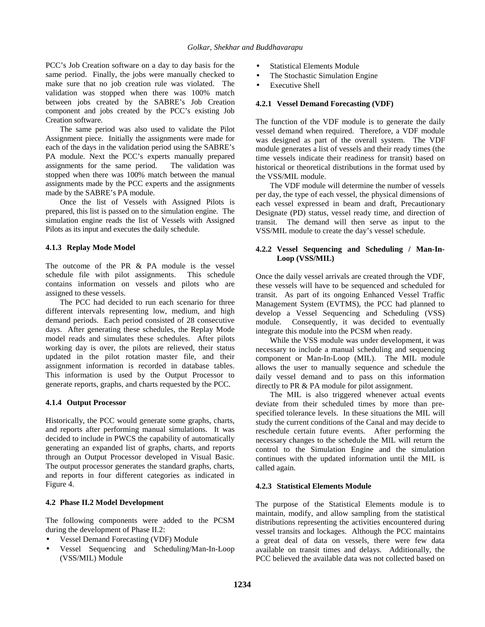PCC's Job Creation software on a day to day basis for the same period. Finally, the jobs were manually checked to make sure that no job creation rule was violated. The validation was stopped when there was 100% match between jobs created by the SABRE's Job Creation component and jobs created by the PCC's existing Job Creation software.

The same period was also used to validate the Pilot Assignment piece. Initially the assignments were made for each of the days in the validation period using the SABRE's PA module. Next the PCC's experts manually prepared assignments for the same period. The validation was stopped when there was 100% match between the manual assignments made by the PCC experts and the assignments made by the SABRE's PA module.

Once the list of Vessels with Assigned Pilots is prepared, this list is passed on to the simulation engine. The simulation engine reads the list of Vessels with Assigned Pilots as its input and executes the daily schedule.

### **4.1.3 Replay Mode Model**

The outcome of the PR & PA module is the vessel schedule file with pilot assignments. This schedule contains information on vessels and pilots who are assigned to these vessels.

The PCC had decided to run each scenario for three different intervals representing low, medium, and high demand periods. Each period consisted of 28 consecutive days. After generating these schedules, the Replay Mode model reads and simulates these schedules. After pilots working day is over, the pilots are relieved, their status updated in the pilot rotation master file, and their assignment information is recorded in database tables. This information is used by the Output Processor to generate reports, graphs, and charts requested by the PCC.

# **4.1.4 Output Processor**

Historically, the PCC would generate some graphs, charts, and reports after performing manual simulations. It was decided to include in PWCS the capability of automatically generating an expanded list of graphs, charts, and reports through an Output Processor developed in Visual Basic. The output processor generates the standard graphs, charts, and reports in four different categories as indicated in Figure 4.

# **4.2 Phase II.2 Model Development**

The following components were added to the PCSM during the development of Phase II.2:

- Vessel Demand Forecasting (VDF) Module
- Vessel Sequencing and Scheduling/Man-In-Loop (VSS/MIL) Module
- **Statistical Elements Module**
- The Stochastic Simulation Engine
- **Executive Shell**

### **4.2.1 Vessel Demand Forecasting (VDF)**

The function of the VDF module is to generate the daily vessel demand when required. Therefore, a VDF module was designed as part of the overall system. The VDF module generates a list of vessels and their ready times (the time vessels indicate their readiness for transit) based on historical or theoretical distributions in the format used by the VSS/MIL module.

The VDF module will determine the number of vessels per day, the type of each vessel, the physical dimensions of each vessel expressed in beam and draft, Precautionary Designate (PD) status, vessel ready time, and direction of transit. The demand will then serve as input to the VSS/MIL module to create the day's vessel schedule.

# **4.2.2 Vessel Sequencing and Scheduling / Man-In-Loop (VSS/MIL)**

Once the daily vessel arrivals are created through the VDF, these vessels will have to be sequenced and scheduled for transit. As part of its ongoing Enhanced Vessel Traffic Management System (EVTMS), the PCC had planned to develop a Vessel Sequencing and Scheduling (VSS) module. Consequently, it was decided to eventually integrate this module into the PCSM when ready.

While the VSS module was under development, it was necessary to include a manual scheduling and sequencing component or Man-In-Loop (MIL). The MIL module allows the user to manually sequence and schedule the daily vessel demand and to pass on this information directly to PR & PA module for pilot assignment.

The MIL is also triggered whenever actual events deviate from their scheduled times by more than prespecified tolerance levels. In these situations the MIL will study the current conditions of the Canal and may decide to reschedule certain future events. After performing the necessary changes to the schedule the MIL will return the control to the Simulation Engine and the simulation continues with the updated information until the MIL is called again.

# **4.2.3 Statistical Elements Module**

The purpose of the Statistical Elements module is to maintain, modify, and allow sampling from the statistical distributions representing the activities encountered during vessel transits and lockages. Although the PCC maintains a great deal of data on vessels, there were few data available on transit times and delays. Additionally, the PCC believed the available data was not collected based on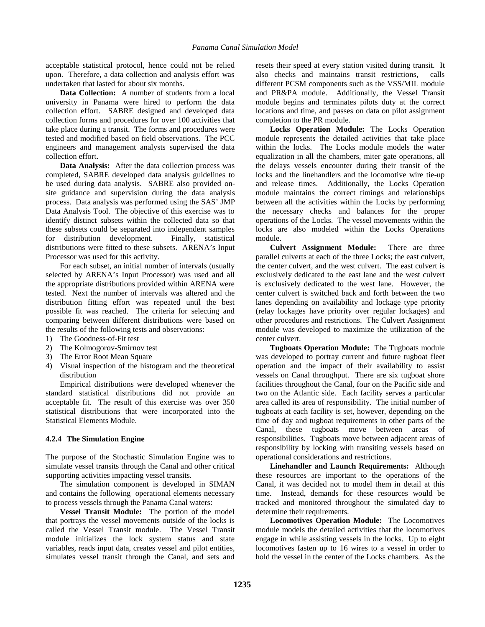acceptable statistical protocol, hence could not be relied upon. Therefore, a data collection and analysis effort was undertaken that lasted for about six months.

**Data Collection:** A number of students from a local university in Panama were hired to perform the data collection effort. SABRE designed and developed data collection forms and procedures for over 100 activities that take place during a transit. The forms and procedures were tested and modified based on field observations. The PCC engineers and management analysts supervised the data collection effort.

**Data Analysis:** After the data collection process was completed, SABRE developed data analysis guidelines to be used during data analysis. SABRE also provided onsite guidance and supervision during the data analysis process. Data analysis was performed using the SAS' JMP Data Analysis Tool. The objective of this exercise was to identify distinct subsets within the collected data so that these subsets could be separated into independent samples for distribution development. Finally, statistical distributions were fitted to these subsets. ARENA's Input Processor was used for this activity.

For each subset, an initial number of intervals (usually selected by ARENA's Input Processor) was used and all the appropriate distributions provided within ARENA were tested. Next the number of intervals was altered and the distribution fitting effort was repeated until the best possible fit was reached. The criteria for selecting and comparing between different distributions were based on the results of the following tests and observations:

- 1) The Goodness-of-Fit test
- 2) The Kolmogorov-Smirnov test
- 3) The Error Root Mean Square
- 4) Visual inspection of the histogram and the theoretical distribution

Empirical distributions were developed whenever the standard statistical distributions did not provide an acceptable fit. The result of this exercise was over 350 statistical distributions that were incorporated into the Statistical Elements Module.

# **4.2.4 The Simulation Engine**

The purpose of the Stochastic Simulation Engine was to simulate vessel transits through the Canal and other critical supporting activities impacting vessel transits.

The simulation component is developed in SIMAN and contains the following operational elements necessary to process vessels through the Panama Canal waters:

**Vessel Transit Module:** The portion of the model that portrays the vessel movements outside of the locks is called the Vessel Transit module. The Vessel Transit module initializes the lock system status and state variables, reads input data, creates vessel and pilot entities, simulates vessel transit through the Canal, and sets and

resets their speed at every station visited during transit. It also checks and maintains transit restrictions, calls different PCSM components such as the VSS/MIL module and PR&PA module. Additionally, the Vessel Transit module begins and terminates pilots duty at the correct locations and time, and passes on data on pilot assignment completion to the PR module.

**Locks Operation Module:** The Locks Operation module represents the detailed activities that take place within the locks. The Locks module models the water equalization in all the chambers, miter gate operations, all the delays vessels encounter during their transit of the locks and the linehandlers and the locomotive wire tie-up and release times. Additionally, the Locks Operation module maintains the correct timings and relationships between all the activities within the Locks by performing the necessary checks and balances for the proper operations of the Locks. The vessel movements within the locks are also modeled within the Locks Operations module.

**Culvert Assignment Module:** There are three parallel culverts at each of the three Locks; the east culvert, the center culvert, and the west culvert. The east culvert is exclusively dedicated to the east lane and the west culvert is exclusively dedicated to the west lane. However, the center culvert is switched back and forth between the two lanes depending on availability and lockage type priority (relay lockages have priority over regular lockages) and other procedures and restrictions. The Culvert Assignment module was developed to maximize the utilization of the center culvert.

**Tugboats Operation Module:** The Tugboats module was developed to portray current and future tugboat fleet operation and the impact of their availability to assist vessels on Canal throughput. There are six tugboat shore facilities throughout the Canal, four on the Pacific side and two on the Atlantic side. Each facility serves a particular area called its area of responsibility. The initial number of tugboats at each facility is set, however, depending on the time of day and tugboat requirements in other parts of the Canal, these tugboats move between areas of responsibilities. Tugboats move between adjacent areas of responsibility by locking with transiting vessels based on operational considerations and restrictions.

**Linehandler and Launch Requirements:** Although these resources are important to the operations of the Canal, it was decided not to model them in detail at this time. Instead, demands for these resources would be tracked and monitored throughout the simulated day to determine their requirements.

**Locomotives Operation Module:** The Locomotives module models the detailed activities that the locomotives engage in while assisting vessels in the locks. Up to eight locomotives fasten up to 16 wires to a vessel in order to hold the vessel in the center of the Locks chambers. As the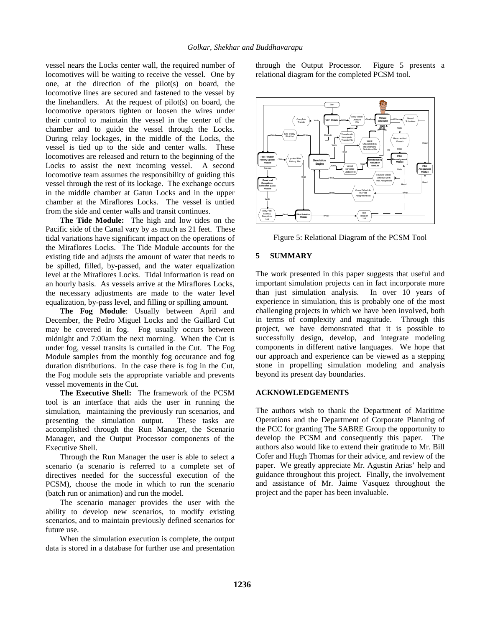vessel nears the Locks center wall, the required number of locomotives will be waiting to receive the vessel. One by one, at the direction of the pilot(s) on board, the locomotive lines are secured and fastened to the vessel by the linehandlers. At the request of pilot(s) on board, the locomotive operators tighten or loosen the wires under their control to maintain the vessel in the center of the chamber and to guide the vessel through the Locks. During relay lockages, in the middle of the Locks, the vessel is tied up to the side and center walls. These locomotives are released and return to the beginning of the Locks to assist the next incoming vessel. A second locomotive team assumes the responsibility of guiding this vessel through the rest of its lockage. The exchange occurs in the middle chamber at Gatun Locks and in the upper chamber at the Miraflores Locks. The vessel is untied from the side and center walls and transit continues.

**The Tide Module:** The high and low tides on the Pacific side of the Canal vary by as much as 21 feet. These tidal variations have significant impact on the operations of the Miraflores Locks. The Tide Module accounts for the existing tide and adjusts the amount of water that needs to be spilled, filled, by-passed, and the water equalization level at the Miraflores Locks. Tidal information is read on an hourly basis. As vessels arrive at the Miraflores Locks, the necessary adjustments are made to the water level equalization, by-pass level, and filling or spilling amount.

**The Fog Module**: Usually between April and December, the Pedro Miguel Locks and the Gaillard Cut may be covered in fog. Fog usually occurs between midnight and 7:00am the next morning. When the Cut is under fog, vessel transits is curtailed in the Cut. The Fog Module samples from the monthly fog occurance and fog duration distributions. In the case there is fog in the Cut, the Fog module sets the appropriate variable and prevents vessel movements in the Cut.

**The Executive Shell:** The framework of the PCSM tool is an interface that aids the user in running the simulation, maintaining the previously run scenarios, and presenting the simulation output. These tasks are accomplished through the Run Manager, the Scenario Manager, and the Output Processor components of the Executive Shell.

Through the Run Manager the user is able to select a scenario (a scenario is referred to a complete set of directives needed for the successful execution of the PCSM), choose the mode in which to run the scenario (batch run or animation) and run the model.

The scenario manager provides the user with the ability to develop new scenarios, to modify existing scenarios, and to maintain previously defined scenarios for future use.

When the simulation execution is complete, the output data is stored in a database for further use and presentation through the Output Processor. Figure 5 presents a relational diagram for the completed PCSM tool.



Figure 5: Relational Diagram of the PCSM Tool

# **5 SUMMARY**

The work presented in this paper suggests that useful and important simulation projects can in fact incorporate more than just simulation analysis. In over 10 years of experience in simulation, this is probably one of the most challenging projects in which we have been involved, both in terms of complexity and magnitude. Through this project, we have demonstrated that it is possible to successfully design, develop, and integrate modeling components in different native languages. We hope that our approach and experience can be viewed as a stepping stone in propelling simulation modeling and analysis beyond its present day boundaries.

### **ACKNOWLEDGEMENTS**

The authors wish to thank the Department of Maritime Operations and the Department of Corporate Planning of the PCC for granting The SABRE Group the opportunity to develop the PCSM and consequently this paper. The authors also would like to extend their gratitude to Mr. Bill Cofer and Hugh Thomas for their advice, and review of the paper. We greatly appreciate Mr. Agustin Arias' help and guidance throughout this project. Finally, the involvement and assistance of Mr. Jaime Vasquez throughout the project and the paper has been invaluable.